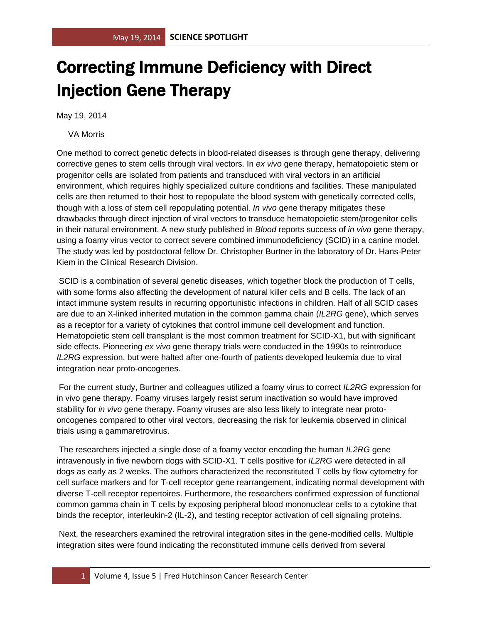## Correcting Immune Deficiency with Direct Injection Gene Therapy

May 19, 2014

VA Morris

One method to correct genetic defects in blood-related diseases is through gene therapy, delivering corrective genes to stem cells through viral vectors. In *ex vivo* gene therapy, hematopoietic stem or progenitor cells are isolated from patients and transduced with viral vectors in an artificial environment, which requires highly specialized culture conditions and facilities. These manipulated cells are then returned to their host to repopulate the blood system with genetically corrected cells, though with a loss of stem cell repopulating potential. *In vivo* gene therapy mitigates these drawbacks through direct injection of viral vectors to transduce hematopoietic stem/progenitor cells in their natural environment. A new study published in *Blood* reports success of *in vivo* gene therapy, using a foamy virus vector to correct severe combined immunodeficiency (SCID) in a canine model. The study was led by postdoctoral fellow Dr. Christopher Burtner in the laboratory of Dr. Hans-Peter Kiem in the Clinical Research Division.

SCID is a combination of several genetic diseases, which together block the production of T cells, with some forms also affecting the development of natural killer cells and B cells. The lack of an intact immune system results in recurring opportunistic infections in children. Half of all SCID cases are due to an X-linked inherited mutation in the common gamma chain (*IL2RG* gene), which serves as a receptor for a variety of cytokines that control immune cell development and function. Hematopoietic stem cell transplant is the most common treatment for SCID-X1, but with significant side effects. Pioneering *ex vivo* gene therapy trials were conducted in the 1990s to reintroduce *IL2RG* expression, but were halted after one-fourth of patients developed leukemia due to viral integration near proto-oncogenes.

For the current study, Burtner and colleagues utilized a foamy virus to correct *IL2RG* expression for in vivo gene therapy. Foamy viruses largely resist serum inactivation so would have improved stability for *in vivo* gene therapy. Foamy viruses are also less likely to integrate near protooncogenes compared to other viral vectors, decreasing the risk for leukemia observed in clinical trials using a gammaretrovirus.

The researchers injected a single dose of a foamy vector encoding the human *IL2RG* gene intravenously in five newborn dogs with SCID-X1. T cells positive for *IL2RG* were detected in all dogs as early as 2 weeks. The authors characterized the reconstituted T cells by flow cytometry for cell surface markers and for T-cell receptor gene rearrangement, indicating normal development with diverse T-cell receptor repertoires. Furthermore, the researchers confirmed expression of functional common gamma chain in T cells by exposing peripheral blood mononuclear cells to a cytokine that binds the receptor, interleukin-2 (IL-2), and testing receptor activation of cell signaling proteins.

Next, the researchers examined the retroviral integration sites in the gene-modified cells. Multiple integration sites were found indicating the reconstituted immune cells derived from several